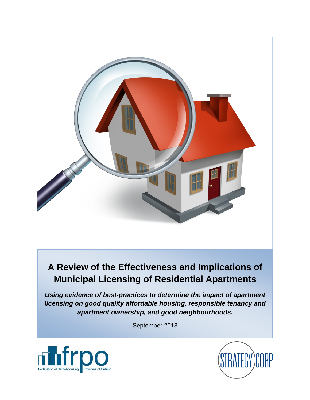

# **A Review of the Effectiveness and Implications of Municipal Licensing of Residential Apartments**

*Using evidence of best-practices to determine the impact of apartment licensing on good quality affordable housing, responsible tenancy and apartment ownership, and good neighbourhoods.* 

September 2013



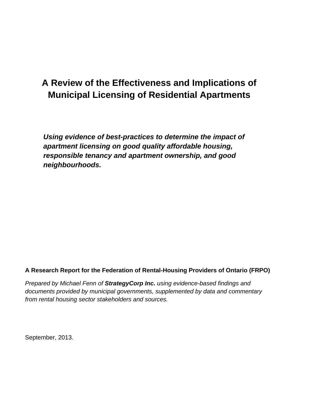# **A Review of the Effectiveness and Implications of Municipal Licensing of Residential Apartments**

*Using evidence of best-practices to determine the impact of apartment licensing on good quality affordable housing, responsible tenancy and apartment ownership, and good neighbourhoods.* 

### **A Research Report for the Federation of Rental-Housing Providers of Ontario (FRPO)**

*Prepared by Michael Fenn of StrategyCorp Inc. using evidence-based findings and documents provided by municipal governments, supplemented by data and commentary from rental housing sector stakeholders and sources.* 

September, 2013.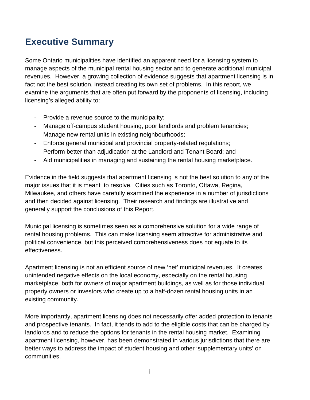# **Executive Summary**

Some Ontario municipalities have identified an apparent need for a licensing system to manage aspects of the municipal rental housing sector and to generate additional municipal revenues. However, a growing collection of evidence suggests that apartment licensing is in fact not the best solution, instead creating its own set of problems. In this report, we examine the arguments that are often put forward by the proponents of licensing, including licensing's alleged ability to:

- Provide a revenue source to the municipality;
- Manage off-campus student housing, poor landlords and problem tenancies;
- Manage new rental units in existing neighbourhoods;
- Enforce general municipal and provincial property-related regulations;
- Perform better than adjudication at the Landlord and Tenant Board; and
- Aid municipalities in managing and sustaining the rental housing marketplace.

Evidence in the field suggests that apartment licensing is not the best solution to any of the major issues that it is meant to resolve. Cities such as Toronto, Ottawa, Regina, Milwaukee, and others have carefully examined the experience in a number of jurisdictions and then decided against licensing. Their research and findings are illustrative and generally support the conclusions of this Report.

Municipal licensing is sometimes seen as a comprehensive solution for a wide range of rental housing problems. This can make licensing seem attractive for administrative and political convenience, but this perceived comprehensiveness does not equate to its effectiveness.

Apartment licensing is not an efficient source of new 'net' municipal revenues. It creates unintended negative effects on the local economy, especially on the rental housing marketplace, both for owners of major apartment buildings, as well as for those individual property owners or investors who create up to a half-dozen rental housing units in an existing community.

More importantly, apartment licensing does not necessarily offer added protection to tenants and prospective tenants. In fact, it tends to add to the eligible costs that can be charged by landlords and to reduce the options for tenants in the rental housing market. Examining apartment licensing, however, has been demonstrated in various jurisdictions that there are better ways to address the impact of student housing and other 'supplementary units' on communities.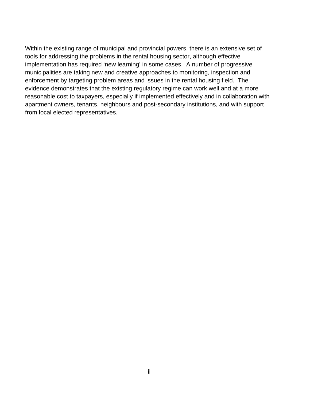Within the existing range of municipal and provincial powers, there is an extensive set of tools for addressing the problems in the rental housing sector, although effective implementation has required 'new learning' in some cases. A number of progressive municipalities are taking new and creative approaches to monitoring, inspection and enforcement by targeting problem areas and issues in the rental housing field. The evidence demonstrates that the existing regulatory regime can work well and at a more reasonable cost to taxpayers, especially if implemented effectively and in collaboration with apartment owners, tenants, neighbours and post-secondary institutions, and with support from local elected representatives.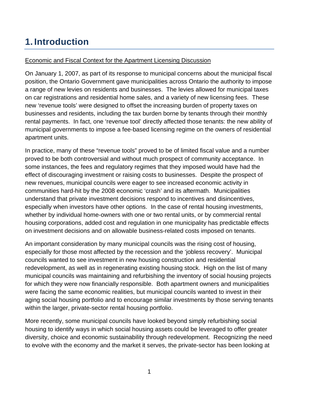# **1. Introduction**

## Economic and Fiscal Context for the Apartment Licensing Discussion

On January 1, 2007, as part of its response to municipal concerns about the municipal fiscal position, the Ontario Government gave municipalities across Ontario the authority to impose a range of new levies on residents and businesses. The levies allowed for municipal taxes on car registrations and residential home sales, and a variety of new licensing fees. These new 'revenue tools' were designed to offset the increasing burden of property taxes on businesses and residents, including the tax burden borne by tenants through their monthly rental payments. In fact, one 'revenue tool' directly affected those tenants: the new ability of municipal governments to impose a fee-based licensing regime on the owners of residential apartment units.

In practice, many of these "revenue tools" proved to be of limited fiscal value and a number proved to be both controversial and without much prospect of community acceptance. In some instances, the fees and regulatory regimes that they imposed would have had the effect of discouraging investment or raising costs to businesses. Despite the prospect of new revenues, municipal councils were eager to see increased economic activity in communities hard-hit by the 2008 economic 'crash' and its aftermath. Municipalities understand that private investment decisions respond to incentives and disincentives, especially when investors have other options. In the case of rental housing investments, whether by individual home-owners with one or two rental units, or by commercial rental housing corporations, added cost and regulation in one municipality has predictable effects on investment decisions and on allowable business-related costs imposed on tenants.

An important consideration by many municipal councils was the rising cost of housing, especially for those most affected by the recession and the 'jobless recovery'. Municipal councils wanted to see investment in new housing construction and residential redevelopment, as well as in regenerating existing housing stock. High on the list of many municipal councils was maintaining and refurbishing the inventory of social housing projects for which they were now financially responsible. Both apartment owners and municipalities were facing the same economic realities, but municipal councils wanted to invest in their aging social housing portfolio and to encourage similar investments by those serving tenants within the larger, private-sector rental housing portfolio.

More recently, some municipal councils have looked beyond simply refurbishing social housing to identify ways in which social housing assets could be leveraged to offer greater diversity, choice and economic sustainability through redevelopment. Recognizing the need to evolve with the economy and the market it serves, the private-sector has been looking at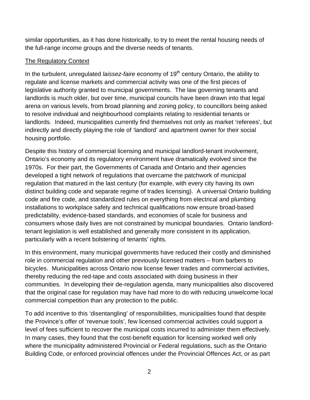similar opportunities, as it has done historically, to try to meet the rental housing needs of the full-range income groups and the diverse needs of tenants.

### The Regulatory Context

In the turbulent, unregulated *laissez-faire* economy of 19<sup>th</sup> century Ontario, the ability to regulate and license markets and commercial activity was one of the first pieces of legislative authority granted to municipal governments. The law governing tenants and landlords is much older, but over time, municipal councils have been drawn into that legal arena on various levels, from broad planning and zoning policy, to councillors being asked to resolve individual and neighbourhood complaints relating to residential tenants or landlords. Indeed, municipalities currently find themselves not only as market 'referees', but indirectly and directly playing the role of 'landlord' and apartment owner for their social housing portfolio.

Despite this history of commercial licensing and municipal landlord-tenant involvement, Ontario's economy and its regulatory environment have dramatically evolved since the 1970s. For their part, the Governments of Canada and Ontario and their agencies developed a tight network of regulations that overcame the patchwork of municipal regulation that matured in the last century (for example, with every city having its own distinct building code and separate regime of trades licensing). A universal Ontario building code and fire code, and standardized rules on everything from electrical and plumbing installations to workplace safety and technical qualifications now ensure broad-based predictability, evidence-based standards, and economies of scale for business and consumers whose daily lives are not constrained by municipal boundaries. Ontario landlordtenant legislation is well established and generally more consistent in its application, particularly with a recent bolstering of tenants' rights.

In this environment, many municipal governments have reduced their costly and diminished role in commercial regulation and other previously licensed matters – from barbers to bicycles. Municipalities across Ontario now license fewer trades and commercial activities, thereby reducing the red-tape and costs associated with doing business in their communities. In developing their de-regulation agenda, many municipalities also discovered that the original case for regulation may have had more to do with reducing unwelcome local commercial competition than any protection to the public.

To add incentive to this 'disentangling' of responsibilities, municipalities found that despite the Province's offer of 'revenue tools', few licensed commercial activities could support a level of fees sufficient to recover the municipal costs incurred to administer them effectively. In many cases, they found that the cost-benefit equation for licensing worked well only where the municipality administered Provincial or Federal regulations, such as the Ontario Building Code, or enforced provincial offences under the Provincial Offences Act, or as part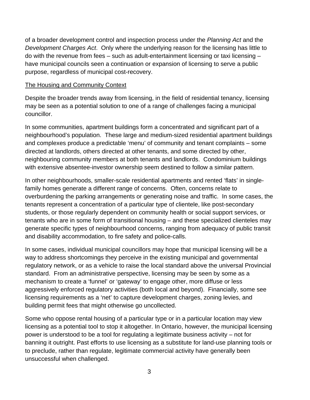of a broader development control and inspection process under the *Planning Act* and the *Development Charges Act*. Only where the underlying reason for the licensing has little to do with the revenue from fees – such as adult-entertainment licensing or taxi licensing – have municipal councils seen a continuation or expansion of licensing to serve a public purpose, regardless of municipal cost-recovery.

### The Housing and Community Context

Despite the broader trends away from licensing, in the field of residential tenancy, licensing may be seen as a potential solution to one of a range of challenges facing a municipal councillor.

In some communities, apartment buildings form a concentrated and significant part of a neighbourhood's population. These large and medium-sized residential apartment buildings and complexes produce a predictable 'menu' of community and tenant complaints – some directed at landlords, others directed at other tenants, and some directed by other, neighbouring community members at both tenants and landlords. Condominium buildings with extensive absentee-investor ownership seem destined to follow a similar pattern.

In other neighbourhoods, smaller-scale residential apartments and rented 'flats' in singlefamily homes generate a different range of concerns. Often, concerns relate to overburdening the parking arrangements or generating noise and traffic. In some cases, the tenants represent a concentration of a particular type of clientele, like post-secondary students, or those regularly dependent on community health or social support services, or tenants who are in some form of transitional housing – and these specialized clienteles may generate specific types of neighbourhood concerns, ranging from adequacy of public transit and disability accommodation, to fire safety and police-calls.

In some cases, individual municipal councillors may hope that municipal licensing will be a way to address shortcomings they perceive in the existing municipal and governmental regulatory network, or as a vehicle to raise the local standard above the universal Provincial standard. From an administrative perspective, licensing may be seen by some as a mechanism to create a 'funnel' or 'gateway' to engage other, more diffuse or less aggressively enforced regulatory activities (both local and beyond). Financially, some see licensing requirements as a 'net' to capture development charges, zoning levies, and building permit fees that might otherwise go uncollected.

Some who oppose rental housing of a particular type or in a particular location may view licensing as a potential tool to stop it altogether. In Ontario, however, the municipal licensing power is understood to be a tool for regulating a legitimate business activity – not for banning it outright. Past efforts to use licensing as a substitute for land-use planning tools or to preclude, rather than regulate, legitimate commercial activity have generally been unsuccessful when challenged.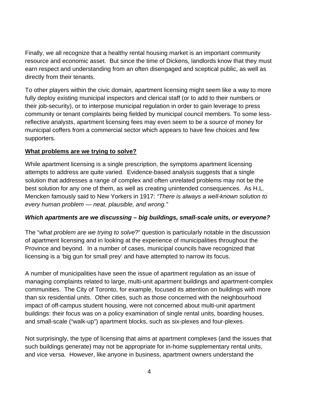Finally, we all recognize that a healthy rental housing market is an important community resource and economic asset. But since the time of Dickens, landlords know that they must earn respect and understanding from an often disengaged and sceptical public, as well as directly from their tenants.

To other players within the civic domain, apartment licensing might seem like a way to more fully deploy existing municipal inspectors and clerical staff (or to add to their numbers or their job-security), or to interpose municipal regulation in order to gain leverage to press community or tenant complaints being fielded by municipal council members. To some lessreflective analysts, apartment licensing fees may even seem to be a source of money for municipal coffers from a commercial sector which appears to have few choices and few supporters.

## **What problems are we trying to solve?**

While apartment licensing is a single prescription, the symptoms apartment licensing attempts to address are quite varied. Evidence-based analysis suggests that a single solution that addresses a range of complex and often unrelated problems may not be the best solution for any one of them, as well as creating unintended consequences. As H.L. Mencken famously said to New Yorkers in 1917: *"There is always a well-known solution to every human problem — neat, plausible, and wrong."*

### *Which apartments are we discussing – big buildings, small-scale units, or everyone?*

The "*what problem are we trying to solve*?" question is particularly notable in the discussion of apartment licensing and in looking at the experience of municipalities throughout the Province and beyond. In a number of cases, municipal councils have recognized that licensing is a 'big gun for small prey' and have attempted to narrow its focus.

A number of municipalities have seen the issue of apartment regulation as an issue of managing complaints related to large, multi-unit apartment buildings and apartment-complex communities. The City of Toronto, for example, focused its attention on buildings with more than six residential units. Other cities, such as those concerned with the neighbourhood impact of off-campus student housing, were not concerned about multi-unit apartment buildings: their focus was on a policy examination of single rental units, boarding houses, and small-scale ("walk-up") apartment blocks, such as six-plexes and four-plexes.

Not surprisingly, the type of licensing that aims at apartment complexes (and the issues that such buildings generate) may not be appropriate for in-home supplementary rental units, and vice versa. However, like anyone in business, apartment owners understand the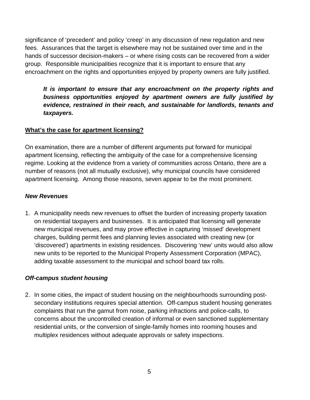significance of 'precedent' and policy 'creep' in any discussion of new regulation and new fees. Assurances that the target is elsewhere may not be sustained over time and in the hands of successor decision-makers – or where rising costs can be recovered from a wider group. Responsible municipalities recognize that it is important to ensure that any encroachment on the rights and opportunities enjoyed by property owners are fully justified.

*It is important to ensure that any encroachment on the property rights and business opportunities enjoyed by apartment owners are fully justified by evidence, restrained in their reach, and sustainable for landlords, tenants and taxpayers.* 

## **What's the case for apartment licensing?**

On examination, there are a number of different arguments put forward for municipal apartment licensing, reflecting the ambiguity of the case for a comprehensive licensing regime. Looking at the evidence from a variety of communities across Ontario, there are a number of reasons (not all mutually exclusive), why municipal councils have considered apartment licensing. Among those reasons, seven appear to be the most prominent.

### *New Revenues*

1. A municipality needs new revenues to offset the burden of increasing property taxation on residential taxpayers and businesses. It is anticipated that licensing will generate new municipal revenues, and may prove effective in capturing 'missed' development charges, building permit fees and planning levies associated with creating new (or 'discovered') apartments in existing residences. Discovering 'new' units would also allow new units to be reported to the Municipal Property Assessment Corporation (MPAC), adding taxable assessment to the municipal and school board tax rolls.

### *Off-campus student housing*

2. In some cities, the impact of student housing on the neighbourhoods surrounding postsecondary institutions requires special attention. Off-campus student housing generates complaints that run the gamut from noise, parking infractions and police-calls, to concerns about the uncontrolled creation of informal or even sanctioned supplementary residential units, or the conversion of single-family homes into rooming houses and multiplex residences without adequate approvals or safety inspections.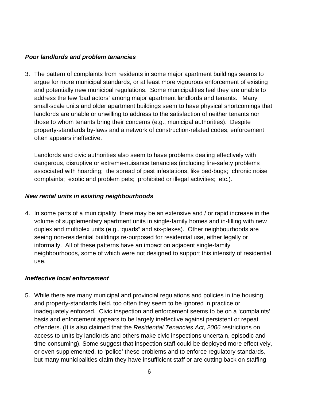### *Poor landlords and problem tenancies*

3. The pattern of complaints from residents in some major apartment buildings seems to argue for more municipal standards, or at least more vigourous enforcement of existing and potentially new municipal regulations. Some municipalities feel they are unable to address the few 'bad actors' among major apartment landlords and tenants. Many small-scale units and older apartment buildings seem to have physical shortcomings that landlords are unable or unwilling to address to the satisfaction of neither tenants nor those to whom tenants bring their concerns (e.g., municipal authorities). Despite property-standards by-laws and a network of construction-related codes, enforcement often appears ineffective.

Landlords and civic authorities also seem to have problems dealing effectively with dangerous, disruptive or extreme-nuisance tenancies (including fire-safety problems associated with hoarding; the spread of pest infestations, like bed-bugs; chronic noise complaints; exotic and problem pets; prohibited or illegal activities; etc.).

### *New rental units in existing neighbourhoods*

4. In some parts of a municipality, there may be an extensive and / or rapid increase in the volume of supplementary apartment units in single-family homes and in-filling with new duplex and multiplex units (e.g.,"quads" and six-plexes). Other neighbourhoods are seeing non-residential buildings re-purposed for residential use, either legally or informally. All of these patterns have an impact on adjacent single-family neighbourhoods, some of which were not designed to support this intensity of residential use.

### *Ineffective local enforcement*

5. While there are many municipal and provincial regulations and policies in the housing and property-standards field, too often they seem to be ignored in practice or inadequately enforced. Civic inspection and enforcement seems to be on a 'complaints' basis and enforcement appears to be largely ineffective against persistent or repeat offenders. (It is also claimed that the *Residential Tenancies Act, 2006* restrictions on access to units by landlords and others make civic inspections uncertain, episodic and time-consuming). Some suggest that inspection staff could be deployed more effectively, or even supplemented, to 'police' these problems and to enforce regulatory standards, but many municipalities claim they have insufficient staff or are cutting back on staffing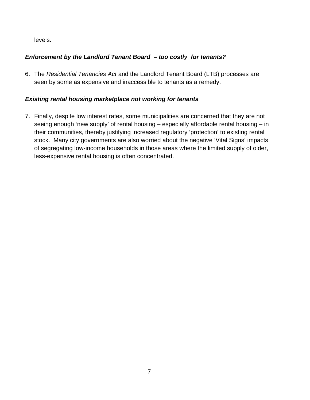levels.

## *Enforcement by the Landlord Tenant Board – too costly for tenants?*

6. The *Residential Tenancies Act* and the Landlord Tenant Board (LTB) processes are seen by some as expensive and inaccessible to tenants as a remedy.

## *Existing rental housing marketplace not working for tenants*

7. Finally, despite low interest rates, some municipalities are concerned that they are not seeing enough 'new supply' of rental housing – especially affordable rental housing – in their communities, thereby justifying increased regulatory 'protection' to existing rental stock. Many city governments are also worried about the negative 'Vital Signs' impacts of segregating low-income households in those areas where the limited supply of older, less-expensive rental housing is often concentrated.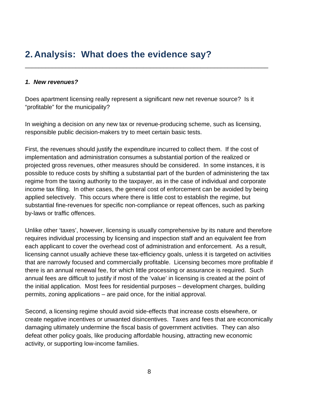## **2. Analysis: What does the evidence say?**

### *1. New revenues?*

Does apartment licensing really represent a significant new net revenue source? Is it "profitable" for the municipality?

\_\_\_\_\_\_\_\_\_\_\_\_\_\_\_\_\_\_\_\_\_\_\_\_\_\_\_\_\_\_\_\_\_\_\_\_\_\_\_\_\_\_\_\_\_\_\_\_\_\_\_\_\_\_\_\_\_\_\_\_\_\_\_\_\_\_\_\_\_\_\_\_

In weighing a decision on any new tax or revenue-producing scheme, such as licensing, responsible public decision-makers try to meet certain basic tests.

First, the revenues should justify the expenditure incurred to collect them. If the cost of implementation and administration consumes a substantial portion of the realized or projected gross revenues, other measures should be considered. In some instances, it is possible to reduce costs by shifting a substantial part of the burden of administering the tax regime from the taxing authority to the taxpayer, as in the case of individual and corporate income tax filing. In other cases, the general cost of enforcement can be avoided by being applied selectively. This occurs where there is little cost to establish the regime, but substantial fine-revenues for specific non-compliance or repeat offences, such as parking by-laws or traffic offences.

Unlike other 'taxes', however, licensing is usually comprehensive by its nature and therefore requires individual processing by licensing and inspection staff and an equivalent fee from each applicant to cover the overhead cost of administration and enforcement. As a result, licensing cannot usually achieve these tax-efficiency goals, unless it is targeted on activities that are narrowly focused and commercially profitable. Licensing becomes more profitable if there is an annual renewal fee, for which little processing or assurance is required. Such annual fees are difficult to justify if most of the 'value' in licensing is created at the point of the initial application. Most fees for residential purposes – development charges, building permits, zoning applications – are paid once, for the initial approval.

Second, a licensing regime should avoid side-effects that increase costs elsewhere, or create negative incentives or unwanted disincentives. Taxes and fees that are economically damaging ultimately undermine the fiscal basis of government activities. They can also defeat other policy goals, like producing affordable housing, attracting new economic activity, or supporting low-income families.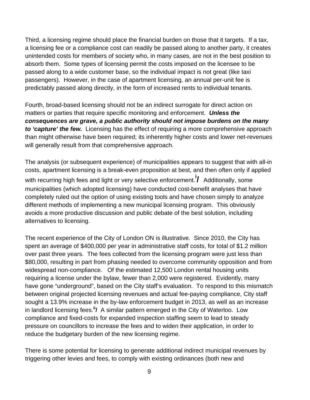Third, a licensing regime should place the financial burden on those that it targets. If a tax, a licensing fee or a compliance cost can readily be passed along to another party, it creates unintended costs for members of society who, in many cases, are not in the best position to absorb them. Some types of licensing permit the costs imposed on the licensee to be passed along to a wide customer base, so the individual impact is not great (like taxi passengers). However, in the case of apartment licensing, an annual per-unit fee is predictably passed along directly, in the form of increased rents to individual tenants.

Fourth, broad-based licensing should not be an indirect surrogate for direct action on matters or parties that require specific monitoring and enforcement. *Unless the consequences are grave, a public authority should not impose burdens on the many to 'capture' the few.* Licensing has the effect of requiring a more comprehensive approach than might otherwise have been required; its inherently higher costs and lower net-revenues will generally result from that comprehensive approach.

The analysis (or subsequent experience) of municipalities appears to suggest that with all-in costs, apartment licensing is a break-even proposition at best, and then often only if applied with recurring high fees and light or very selective enforcement.**<sup>i</sup> /** Additionally, some municipalities (which adopted licensing) have conducted cost-benefit analyses that have completely ruled out the option of using existing tools and have chosen simply to analyze different methods of implementing a new municipal licensing program. This obviously avoids a more productive discussion and public debate of the best solution, including alternatives to licensing.

The recent experience of the City of London ON is illustrative. Since 2010, the City has spent an average of \$400,000 per year in administrative staff costs, for total of \$1.2 million over past three years. The fees collected from the licensing program were just less than \$80,000, resulting in part from phasing needed to overcome community opposition and from widespread non-compliance. Of the estimated 12,500 London rental housing units requiring a license under the bylaw, fewer than 2,000 were registered. Evidently, many have gone "underground", based on the City staff's evaluation. To respond to this mismatch between original projected licensing revenues and actual fee-paying compliance, City staff sought a 13.9% increase in the by-law enforcement budget in 2013, as well as an increase in landlord licensing fees.**ii/** A similar pattern emerged in the City of Waterloo. Low compliance and fixed-costs for expanded inspection staffing seem to lead to steady pressure on councillors to increase the fees and to widen their application, in order to reduce the budgetary burden of the new licensing regime.

There is some potential for licensing to generate additional indirect municipal revenues by triggering other levies and fees, to comply with existing ordinances (both new and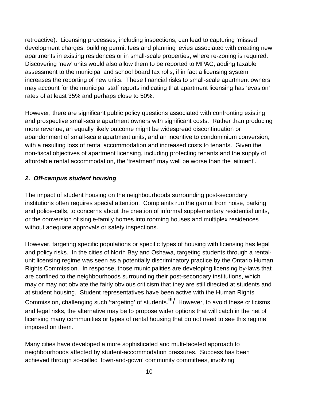retroactive). Licensing processes, including inspections, can lead to capturing 'missed' development charges, building permit fees and planning levies associated with creating new apartments in existing residences or in small-scale properties, where re-zoning is required. Discovering 'new' units would also allow them to be reported to MPAC, adding taxable assessment to the municipal and school board tax rolls, if in fact a licensing system increases the reporting of new units. These financial risks to small-scale apartment owners may account for the municipal staff reports indicating that apartment licensing has 'evasion' rates of at least 35% and perhaps close to 50%.

However, there are significant public policy questions associated with confronting existing and prospective small-scale apartment owners with significant costs. Rather than producing more revenue, an equally likely outcome might be widespread discontinuation or abandonment of small-scale apartment units, and an incentive to condominium conversion, with a resulting loss of rental accommodation and increased costs to tenants. Given the non-fiscal objectives of apartment licensing, including protecting tenants and the supply of affordable rental accommodation, the 'treatment' may well be worse than the 'ailment'.

## *2. Off-campus student housing*

The impact of student housing on the neighbourhoods surrounding post-secondary institutions often requires special attention. Complaints run the gamut from noise, parking and police-calls, to concerns about the creation of informal supplementary residential units, or the conversion of single-family homes into rooming houses and multiplex residences without adequate approvals or safety inspections.

However, targeting specific populations or specific types of housing with licensing has legal and policy risks. In the cities of North Bay and Oshawa, targeting students through a rentalunit licensing regime was seen as a potentially discriminatory practice by the Ontario Human Rights Commission. In response, those municipalities are developing licensing by-laws that are confined to the neighbourhoods surrounding their post-secondary institutions, which may or may not obviate the fairly obvious criticism that they are still directed at students and at student housing. Student representatives have been active with the Human Rights Commission, challenging such 'targeting' of students.**iii**/ However, to avoid these criticisms and legal risks, the alternative may be to propose wider options that will catch in the net of licensing many communities or types of rental housing that do not need to see this regime imposed on them.

Many cities have developed a more sophisticated and multi-faceted approach to neighbourhoods affected by student-accommodation pressures. Success has been achieved through so-called 'town-and-gown' community committees, involving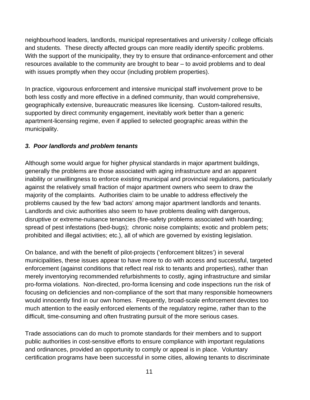neighbourhood leaders, landlords, municipal representatives and university / college officials and students. These directly affected groups can more readily identify specific problems. With the support of the municipality, they try to ensure that ordinance-enforcement and other resources available to the community are brought to bear – to avoid problems and to deal with issues promptly when they occur (including problem properties).

In practice, vigourous enforcement and intensive municipal staff involvement prove to be both less costly and more effective in a defined community, than would comprehensive, geographically extensive, bureaucratic measures like licensing. Custom-tailored results, supported by direct community engagement, inevitably work better than a generic apartment-licensing regime, even if applied to selected geographic areas within the municipality.

## *3. Poor landlords and problem tenants*

Although some would argue for higher physical standards in major apartment buildings, generally the problems are those associated with aging infrastructure and an apparent inability or unwillingness to enforce existing municipal and provincial regulations, particularly against the relatively small fraction of major apartment owners who seem to draw the majority of the complaints. Authorities claim to be unable to address effectively the problems caused by the few 'bad actors' among major apartment landlords and tenants. Landlords and civic authorities also seem to have problems dealing with dangerous, disruptive or extreme-nuisance tenancies (fire-safety problems associated with hoarding; spread of pest infestations (bed-bugs); chronic noise complaints; exotic and problem pets; prohibited and illegal activities; etc.), all of which are governed by existing legislation.

On balance, and with the benefit of pilot-projects ('enforcement blitzes') in several municipalities, these issues appear to have more to do with access and successful, targeted enforcement (against conditions that reflect real risk to tenants and properties), rather than merely inventorying recommended refurbishments to costly, aging infrastructure and similar pro-forma violations. Non-directed, pro-forma licensing and code inspections run the risk of focusing on deficiencies and non-compliance of the sort that many responsible homeowners would innocently find in our own homes. Frequently, broad-scale enforcement devotes too much attention to the easily enforced elements of the regulatory regime, rather than to the difficult, time-consuming and often frustrating pursuit of the more serious cases.

Trade associations can do much to promote standards for their members and to support public authorities in cost-sensitive efforts to ensure compliance with important regulations and ordinances, provided an opportunity to comply or appeal is in place. Voluntary certification programs have been successful in some cities, allowing tenants to discriminate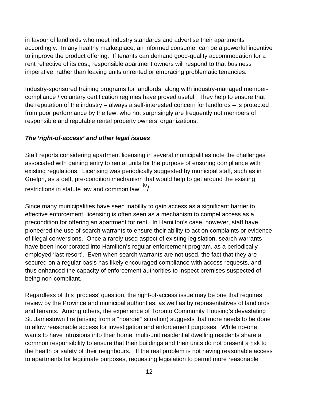in favour of landlords who meet industry standards and advertise their apartments accordingly. In any healthy marketplace, an informed consumer can be a powerful incentive to improve the product offering. If tenants can demand good-quality accommodation for a rent reflective of its cost, responsible apartment owners will respond to that business imperative, rather than leaving units unrented or embracing problematic tenancies.

Industry-sponsored training programs for landlords, along with industry-managed membercompliance / voluntary certification regimes have proved useful. They help to ensure that the reputation of the industry – always a self-interested concern for landlords – is protected from poor performance by the few, who not surprisingly are frequently not members of responsible and reputable rental property owners' organizations.

## *The 'right-of-access' and other legal issues*

Staff reports considering apartment licensing in several municipalities note the challenges associated with gaining entry to rental units for the purpose of ensuring compliance with existing regulations. Licensing was periodically suggested by municipal staff, such as in Guelph, as a deft, pre-condition mechanism that would help to get around the existing restrictions in statute law and common law. **iv**/

Since many municipalities have seen inability to gain access as a significant barrier to effective enforcement, licensing is often seen as a mechanism to compel access as a precondition for offering an apartment for rent. In Hamilton's case, however, staff have pioneered the use of search warrants to ensure their ability to act on complaints or evidence of illegal conversions. Once a rarely used aspect of existing legislation, search warrants have been incorporated into Hamilton's regular enforcement program, as a periodically employed 'last resort'. Even when search warrants are not used, the fact that they are secured on a regular basis has likely encouraged compliance with access requests, and thus enhanced the capacity of enforcement authorities to inspect premises suspected of being non-compliant.

Regardless of this 'process' question, the right-of-access issue may be one that requires review by the Province and municipal authorities, as well as by representatives of landlords and tenants. Among others, the experience of Toronto Community Housing's devastating St. Jamestown fire (arising from a "hoarder" situation) suggests that more needs to be done to allow reasonable access for investigation and enforcement purposes. While no-one wants to have intrusions into their home, multi-unit residential dwelling residents share a common responsibility to ensure that their buildings and their units do not present a risk to the health or safety of their neighbours. If the real problem is not having reasonable access to apartments for legitimate purposes, requesting legislation to permit more reasonable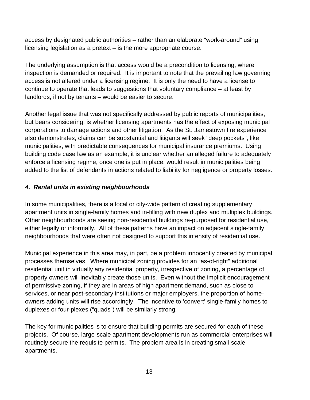access by designated public authorities – rather than an elaborate "work-around" using licensing legislation as a pretext – is the more appropriate course.

The underlying assumption is that access would be a precondition to licensing, where inspection is demanded or required. It is important to note that the prevailing law governing access is not altered under a licensing regime. It is only the need to have a license to continue to operate that leads to suggestions that voluntary compliance – at least by landlords, if not by tenants – would be easier to secure.

Another legal issue that was not specifically addressed by public reports of municipalities, but bears considering, is whether licensing apartments has the effect of exposing municipal corporations to damage actions and other litigation. As the St. Jamestown fire experience also demonstrates, claims can be substantial and litigants will seek "deep pockets", like municipalities, with predictable consequences for municipal insurance premiums. Using building code case law as an example, it is unclear whether an alleged failure to adequately enforce a licensing regime, once one is put in place, would result in municipalities being added to the list of defendants in actions related to liability for negligence or property losses.

## *4. Rental units in existing neighbourhoods*

In some municipalities, there is a local or city-wide pattern of creating supplementary apartment units in single-family homes and in-filling with new duplex and multiplex buildings. Other neighbourhoods are seeing non-residential buildings re-purposed for residential use, either legally or informally. All of these patterns have an impact on adjacent single-family neighbourhoods that were often not designed to support this intensity of residential use.

Municipal experience in this area may, in part, be a problem innocently created by municipal processes themselves. Where municipal zoning provides for an "as-of-right" additional residential unit in virtually any residential property, irrespective of zoning, a percentage of property owners will inevitably create those units. Even without the implicit encouragement of permissive zoning, if they are in areas of high apartment demand, such as close to services, or near post-secondary institutions or major employers, the proportion of homeowners adding units will rise accordingly. The incentive to 'convert' single-family homes to duplexes or four-plexes ("quads") will be similarly strong.

The key for municipalities is to ensure that building permits are secured for each of these projects. Of course, large-scale apartment developments run as commercial enterprises will routinely secure the requisite permits. The problem area is in creating small-scale apartments.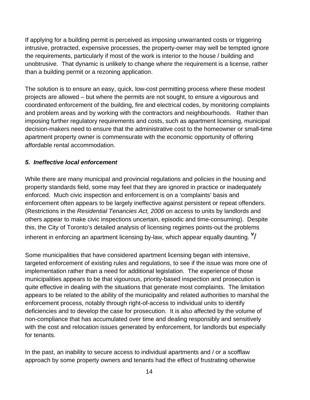If applying for a building permit is perceived as imposing unwarranted costs or triggering intrusive, protracted, expensive processes, the property-owner may well be tempted ignore the requirements, particularly if most of the work is interior to the house / building and unobtrusive. That dynamic is unlikely to change where the requirement is a license, rather than a building permit or a rezoning application.

The solution is to ensure an easy, quick, low-cost permitting process where these modest projects are allowed – but where the permits are not sought, to ensure a vigourous and coordinated enforcement of the building, fire and electrical codes, by monitoring complaints and problem areas and by working with the contractors and neighbourhoods. Rather than imposing further regulatory requirements and costs, such as apartment licensing, municipal decision-makers need to ensure that the administrative cost to the homeowner or small-time apartment property owner is commensurate with the economic opportunity of offering affordable rental accommodation.

## *5. Ineffective local enforcement*

While there are many municipal and provincial regulations and policies in the housing and property standards field, some may feel that they are ignored in practice or inadequately enforced. Much civic inspection and enforcement is on a 'complaints' basis and enforcement often appears to be largely ineffective against persistent or repeat offenders. (Restrictions in the *Residential Tenancies Act, 2006* on access to units by landlords and others appear to make civic inspections uncertain, episodic and time-consuming). Despite this, the City of Toronto's detailed analysis of licensing regimes points-out the problems inherent in enforcing an apartment licensing by-law, which appear equally daunting. **<sup>v</sup>** /

Some municipalities that have considered apartment licensing began with intensive, targeted enforcement of existing rules and regulations, to see if the issue was more one of implementation rather than a need for additional legislation. The experience of those municipalities appears to be that vigourous, priority-based inspection and prosecution is quite effective in dealing with the situations that generate most complaints. The limitation appears to be related to the ability of the municipality and related authorities to marshal the enforcement process, notably through right-of-access to individual units to identify deficiencies and to develop the case for prosecution. It is also affected by the volume of non-compliance that has accumulated over time and dealing responsibly and sensitively with the cost and relocation issues generated by enforcement, for landlords but especially for tenants.

In the past, an inability to secure access to individual apartments and / or a scofflaw approach by some property owners and tenants had the effect of frustrating otherwise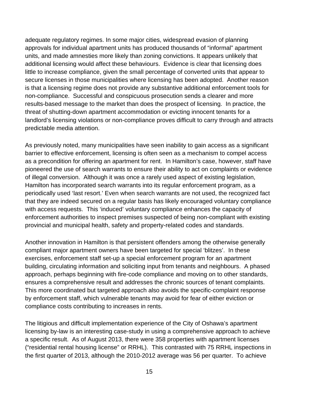adequate regulatory regimes. In some major cities, widespread evasion of planning approvals for individual apartment units has produced thousands of "informal" apartment units, and made amnesties more likely than zoning convictions. It appears unlikely that additional licensing would affect these behaviours. Evidence is clear that licensing does little to increase compliance, given the small percentage of converted units that appear to secure licenses in those municipalities where licensing has been adopted. Another reason is that a licensing regime does not provide any substantive additional enforcement tools for non-compliance. Successful and conspicuous prosecution sends a clearer and more results-based message to the market than does the prospect of licensing. In practice, the threat of shutting-down apartment accommodation or evicting innocent tenants for a landlord's licensing violations or non-compliance proves difficult to carry through and attracts predictable media attention.

As previously noted, many municipalities have seen inability to gain access as a significant barrier to effective enforcement, licensing is often seen as a mechanism to compel access as a precondition for offering an apartment for rent. In Hamilton's case, however, staff have pioneered the use of search warrants to ensure their ability to act on complaints or evidence of illegal conversion. Although it was once a rarely used aspect of existing legislation, Hamilton has incorporated search warrants into its regular enforcement program, as a periodically used 'last resort.' Even when search warrants are not used, the recognized fact that they are indeed secured on a regular basis has likely encouraged voluntary compliance with access requests. This 'induced' voluntary compliance enhances the capacity of enforcement authorities to inspect premises suspected of being non-compliant with existing provincial and municipal health, safety and property-related codes and standards.

Another innovation in Hamilton is that persistent offenders among the otherwise generally compliant major apartment owners have been targeted for special 'blitzes'. In these exercises, enforcement staff set-up a special enforcement program for an apartment building, circulating information and soliciting input from tenants and neighbours. A phased approach, perhaps beginning with fire-code compliance and moving on to other standards, ensures a comprehensive result and addresses the chronic sources of tenant complaints. This more coordinated but targeted approach also avoids the specific-complaint response by enforcement staff, which vulnerable tenants may avoid for fear of either eviction or compliance costs contributing to increases in rents.

The litigious and difficult implementation experience of the City of Oshawa's apartment licensing by-law is an interesting case-study in using a comprehensive approach to achieve a specific result. As of August 2013, there were 358 properties with apartment licenses ("residential rental housing license" or RRHL). This contrasted with 75 RRHL inspections in the first quarter of 2013, although the 2010-2012 average was 56 per quarter. To achieve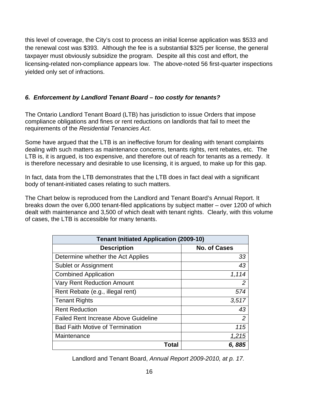this level of coverage, the City's cost to process an initial license application was \$533 and the renewal cost was \$393. Although the fee is a substantial \$325 per license, the general taxpayer must obviously subsidize the program. Despite all this cost and effort, the licensing-related non-compliance appears low. The above-noted 56 first-quarter inspections yielded only set of infractions.

## *6. Enforcement by Landlord Tenant Board – too costly for tenants?*

The Ontario Landlord Tenant Board (LTB) has jurisdiction to issue Orders that impose compliance obligations and fines or rent reductions on landlords that fail to meet the requirements of the *Residential Tenancies Act*.

Some have argued that the LTB is an ineffective forum for dealing with tenant complaints dealing with such matters as maintenance concerns, tenants rights, rent rebates, etc. The LTB is, it is argued, is too expensive, and therefore out of reach for tenants as a remedy. It is therefore necessary and desirable to use licensing, it is argued, to make up for this gap.

In fact, data from the LTB demonstrates that the LTB does in fact deal with a significant body of tenant-initiated cases relating to such matters.

The Chart below is reproduced from the Landlord and Tenant Board's Annual Report. It breaks down the over 6,000 tenant-filed applications by subject matter – over 1200 of which dealt with maintenance and 3,500 of which dealt with tenant rights. Clearly, with this volume of cases, the LTB is accessible for many tenants.

| <b>Tenant Initiated Application (2009-10)</b> |                     |
|-----------------------------------------------|---------------------|
| <b>Description</b>                            | <b>No. of Cases</b> |
| Determine whether the Act Applies             | 33                  |
| Sublet or Assignment                          | 43                  |
| <b>Combined Application</b>                   | 1,114               |
| <b>Vary Rent Reduction Amount</b>             | $\overline{2}$      |
| Rent Rebate (e.g., illegal rent)              | 574                 |
| <b>Tenant Rights</b>                          | 3,517               |
| <b>Rent Reduction</b>                         | 43                  |
| <b>Failed Rent Increase Above Guideline</b>   | $\overline{2}$      |
| <b>Bad Faith Motive of Termination</b>        | 115                 |
| Maintenance                                   | 1,215               |
| Total                                         | 6,885               |

Landlord and Tenant Board, *Annual Report 2009-2010, at p. 17.*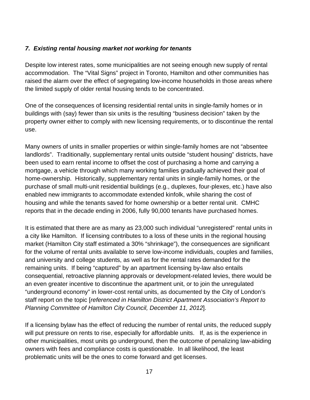### *7. Existing rental housing market not working for tenants*

Despite low interest rates, some municipalities are not seeing enough new supply of rental accommodation. The "Vital Signs" project in Toronto, Hamilton and other communities has raised the alarm over the effect of segregating low-income households in those areas where the limited supply of older rental housing tends to be concentrated.

One of the consequences of licensing residential rental units in single-family homes or in buildings with (say) fewer than six units is the resulting "business decision" taken by the property owner either to comply with new licensing requirements, or to discontinue the rental use.

Many owners of units in smaller properties or within single-family homes are not "absentee landlords". Traditionally, supplementary rental units outside "student housing" districts, have been used to earn rental income to offset the cost of purchasing a home and carrying a mortgage, a vehicle through which many working families gradually achieved their goal of home-ownership. Historically, supplementary rental units in single-family homes, or the purchase of small multi-unit residential buildings (e.g., duplexes, four-plexes, etc.) have also enabled new immigrants to accommodate extended kinfolk, while sharing the cost of housing and while the tenants saved for home ownership or a better rental unit. CMHC reports that in the decade ending in 2006, fully 90,000 tenants have purchased homes.

It is estimated that there are as many as 23,000 such individual "unregistered" rental units in a city like Hamilton. If licensing contributes to a loss of these units in the regional housing market (Hamilton City staff estimated a 30% "shrinkage"), the consequences are significant for the volume of rental units available to serve low-income individuals, couples and families, and university and college students, as well as for the rental rates demanded for the remaining units. If being "captured" by an apartment licensing by-law also entails consequential, retroactive planning approvals or development-related levies, there would be an even greater incentive to discontinue the apartment unit, or to join the unregulated "underground economy" in lower-cost rental units, as documented by the City of London's staff report on the topic [*referenced in Hamilton District Apartment Association's Report to Planning Committee of Hamilton City Council, December 11, 2012*].

If a licensing bylaw has the effect of reducing the number of rental units, the reduced supply will put pressure on rents to rise, especially for affordable units. If, as is the experience in other municipalities, most units go underground, then the outcome of penalizing law-abiding owners with fees and compliance costs is questionable. In all likelihood, the least problematic units will be the ones to come forward and get licenses.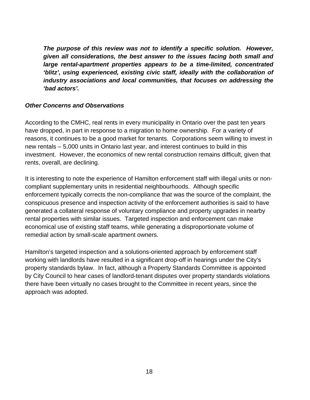*The purpose of this review was not to identify a specific solution. However, given all considerations, the best answer to the issues facing both small and large rental-apartment properties appears to be a time-limited, concentrated 'blitz', using experienced, existing civic staff, ideally with the collaboration of industry associations and local communities, that focuses on addressing the 'bad actors'.* 

### *Other Concerns and Observations*

According to the CMHC, real rents in every municipality in Ontario over the past ten years have dropped, in part in response to a migration to home ownership. For a variety of reasons, it continues to be a good market for tenants. Corporations seem willing to invest in new rentals – 5,000 units in Ontario last year, and interest continues to build in this investment. However, the economics of new rental construction remains difficult, given that rents, overall, are declining.

It is interesting to note the experience of Hamilton enforcement staff with illegal units or noncompliant supplementary units in residential neighbourhoods. Although specific enforcement typically corrects the non-compliance that was the source of the complaint, the conspicuous presence and inspection activity of the enforcement authorities is said to have generated a collateral response of voluntary compliance and property upgrades in nearby rental properties with similar issues. Targeted inspection and enforcement can make economical use of existing staff teams, while generating a disproportionate volume of remedial action by small-scale apartment owners.

Hamilton's targeted inspection and a solutions-oriented approach by enforcement staff working with landlords have resulted in a significant drop-off in hearings under the City's property standards bylaw. In fact, although a Property Standards Committee is appointed by City Council to hear cases of landlord-tenant disputes over property standards violations there have been virtually no cases brought to the Committee in recent years, since the approach was adopted.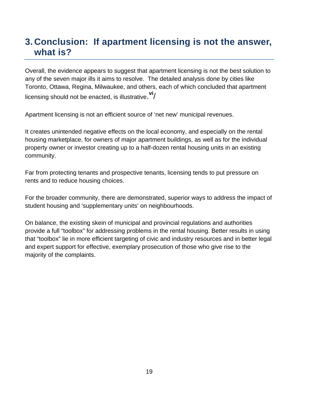## **3. Conclusion: If apartment licensing is not the answer, what is?**

Overall, the evidence appears to suggest that apartment licensing is not the best solution to any of the seven major ills it aims to resolve. The detailed analysis done by cities like Toronto, Ottawa, Regina, Milwaukee, and others, each of which concluded that apartment licensing should not be enacted, is illustrative. **vi**/

Apartment licensing is not an efficient source of 'net new' municipal revenues.

It creates unintended negative effects on the local economy, and especially on the rental housing marketplace, for owners of major apartment buildings, as well as for the individual property owner or investor creating up to a half-dozen rental housing units in an existing community.

Far from protecting tenants and prospective tenants, licensing tends to put pressure on rents and to reduce housing choices.

For the broader community, there are demonstrated, superior ways to address the impact of student housing and 'supplementary units' on neighbourhoods.

On balance, the existing skein of municipal and provincial regulations and authorities provide a full "toolbox" for addressing problems in the rental housing. Better results in using that "toolbox" lie in more efficient targeting of civic and industry resources and in better legal and expert support for effective, exemplary prosecution of those who give rise to the majority of the complaints.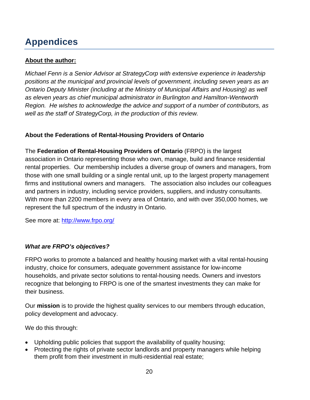# **Appendices**

## **About the author:**

*Michael Fenn is a Senior Advisor at StrategyCorp with extensive experience in leadership positions at the municipal and provincial levels of government, including seven years as an Ontario Deputy Minister (including at the Ministry of Municipal Affairs and Housing) as well as eleven years as chief municipal administrator in Burlington and Hamilton-Wentworth Region. He wishes to acknowledge the advice and support of a number of contributors, as well as the staff of StrategyCorp, in the production of this review.* 

## **About the Federations of Rental-Housing Providers of Ontario**

The **Federation of Rental-Housing Providers of Ontario** (FRPO) is the largest association in Ontario representing those who own, manage, build and finance residential rental properties. Our membership includes a diverse group of owners and managers, from those with one small building or a single rental unit, up to the largest property management firms and institutional owners and managers. The association also includes our colleagues and partners in industry, including service providers, suppliers, and industry consultants. With more than 2200 members in every area of Ontario, and with over 350,000 homes, we represent the full spectrum of the industry in Ontario.

See more at: http://www.frpo.org/

### *What are FRPO's objectives?*

FRPO works to promote a balanced and healthy housing market with a vital rental-housing industry, choice for consumers, adequate government assistance for low-income households, and private sector solutions to rental-housing needs. Owners and investors recognize that belonging to FRPO is one of the smartest investments they can make for their business.

Our **mission** is to provide the highest quality services to our members through education, policy development and advocacy.

We do this through:

- Upholding public policies that support the availability of quality housing;
- Protecting the rights of private sector landlords and property managers while helping them profit from their investment in multi-residential real estate;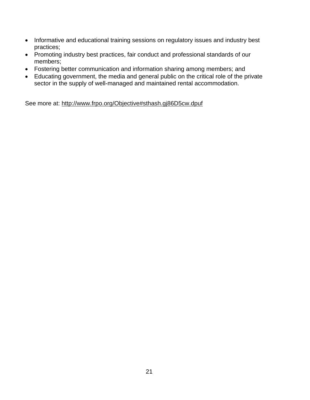- Informative and educational training sessions on regulatory issues and industry best practices;
- Promoting industry best practices, fair conduct and professional standards of our members;
- Fostering better communication and information sharing among members; and
- Educating government, the media and general public on the critical role of the private sector in the supply of well-managed and maintained rental accommodation.

See more at: http://www.frpo.org/Objective#sthash.gj86D5cw.dpuf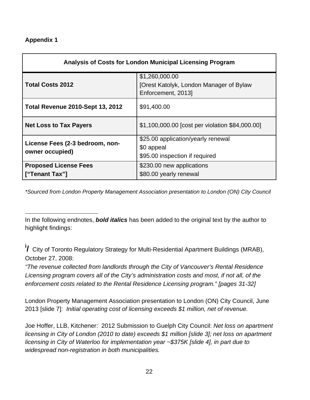### **Appendix 1**

| <b>Analysis of Costs for London Municipal Licensing Program</b> |                                                                                 |  |
|-----------------------------------------------------------------|---------------------------------------------------------------------------------|--|
| <b>Total Costs 2012</b>                                         | \$1,260,000.00<br>[Orest Katolyk, London Manager of Bylaw<br>Enforcement, 2013] |  |
| <b>Total Revenue 2010-Sept 13, 2012</b>                         | \$91,400.00                                                                     |  |
| <b>Net Loss to Tax Payers</b>                                   | \$1,100,000.00 [cost per violation \$84,000.00]                                 |  |
| License Fees (2-3 bedroom, non-<br>owner occupied)              | \$25.00 application/yearly renewal                                              |  |
|                                                                 | \$0 appeal                                                                      |  |
|                                                                 | \$95.00 inspection if required                                                  |  |
| <b>Proposed License Fees</b>                                    | \$230.00 new applications                                                       |  |
| ["Tenant Tax"]                                                  | \$80.00 yearly renewal                                                          |  |

*\*Sourced from London Property Management Association presentation to London (ON) City Council* 

 $\overline{a}$ In the following endnotes, *bold italics* has been added to the original text by the author to highlight findings:

**i /** City of Toronto Regulatory Strategy for Multi-Residential Apartment Buildings (MRAB), October 27, 2008:

*"The revenue collected from landlords through the City of Vancouver's Rental Residence Licensing program covers all of the City's administration costs and most, if not all, of the enforcement costs related to the Rental Residence Licensing program." [pages 31-32]* 

London Property Management Association presentation to London (ON) City Council, June 2013 [slide 7]: *Initial operating cost of licensing exceeds \$1 million, net of revenue.* 

Joe Hoffer, LLB, Kitchener: 2012 Submission to Guelph City Council: *Net loss on apartment licensing in City of London (2010 to date) exceeds \$1 million [slide 3]; net loss on apartment licensing in City of Waterloo for implementation year ~\$375K [slide 4], in part due to widespread non-registration in both municipalities.*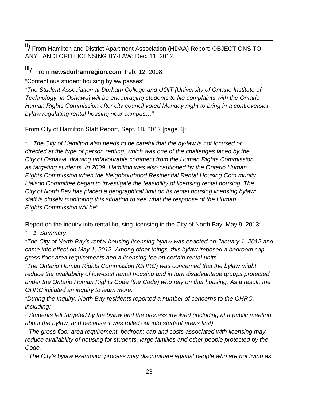**ii/** From Hamilton and District Apartment Association (HDAA) Report: OBJECTIONS TO ANY LANDLORD LICENSING BY-LAW: Dec. 11, 2012.

**iii**/ From **newsdurhamregion.com**, Feb. 12, 2008:

"Contentious student housing bylaw passes"

*"The Student Association at Durham College and UOIT [University of Ontario Institute of Technology, in Oshawa] will be encouraging students to file complaints with the Ontario Human Rights Commission after city council voted Monday night to bring in a controversial bylaw regulating rental housing near campus…"* 

From City of Hamilton Staff Report, Sept. 18, 2012 [page 8]:

*"…The City of Hamilton also needs to be careful that the by-law is not focused or directed at the type of person renting, which was one of the challenges faced by the City of Oshawa, drawing unfavourable comment from the Human Rights Commission as targeting students. In 2009, Hamilton was also cautioned by the Ontario Human Rights Commission when the Neighbourhood Residential Rental Housing Com munity Liaison Committee began to investigate the feasibility of licensing rental housing. The City of North Bay has placed a geographical limit on its rental housing licensing bylaw; staff is closely monitoring this situation to see what the response of the Human Rights Commission will be".* 

Report on the inquiry into rental housing licensing in the City of North Bay, May 9, 2013:

*"…1. Summary* 

*"The City of North Bay's rental housing licensing bylaw was enacted on January 1, 2012 and came into effect on May 1, 2012. Among other things, this bylaw imposed a bedroom cap, gross floor area requirements and a licensing fee on certain rental units.* 

*"The Ontario Human Rights Commission (OHRC) was concerned that the bylaw might reduce the availability of low-cost rental housing and in turn disadvantage groups protected under the Ontario Human Rights Code (the Code) who rely on that housing. As a result, the OHRC initiated an inquiry to learn more.* 

*"During the inquiry, North Bay residents reported a number of concerns to the OHRC, including:* 

*· Students felt targeted by the bylaw and the process involved (including at a public meeting about the bylaw, and because it was rolled out into student areas first).* 

*· The gross floor area requirement, bedroom cap and costs associated with licensing may reduce availability of housing for students, large families and other people protected by the Code.* 

*· The City's bylaw exemption process may discriminate against people who are not living as*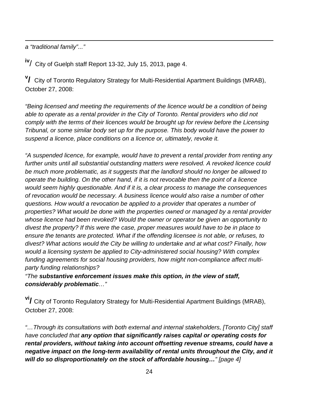$\overline{a}$ *a "traditional family"..."* 

**iv**/ City of Guelph staff Report 13-32, July 15, 2013, page 4.

**v /** City of Toronto Regulatory Strategy for Multi-Residential Apartment Buildings (MRAB), October 27, 2008:

*"Being licensed and meeting the requirements of the licence would be a condition of being*  able to operate as a rental provider in the City of Toronto. Rental providers who did not *comply with the terms of their licences would be brought up for review before the Licensing Tribunal, or some similar body set up for the purpose. This body would have the power to suspend a licence, place conditions on a licence or, ultimately, revoke it.* 

*"A suspended licence, for example, would have to prevent a rental provider from renting any further units until all substantial outstanding matters were resolved. A revoked licence could be much more problematic, as it suggests that the landlord should no longer be allowed to operate the building. On the other hand, if it is not revocable then the point of a licence would seem highly questionable. And if it is, a clear process to manage the consequences of revocation would be necessary. A business licence would also raise a number of other questions. How would a revocation be applied to a provider that operates a number of properties? What would be done with the properties owned or managed by a rental provider whose licence had been revoked? Would the owner or operator be given an opportunity to divest the property? If this were the case, proper measures would have to be in place to ensure the tenants are protected. What if the offending licensee is not able, or refuses, to divest? What actions would the City be willing to undertake and at what cost? Finally, how would a licensing system be applied to City-administered social housing? With complex funding agreements for social housing providers, how might non-compliance affect multiparty funding relationships?* 

*"The substantive enforcement issues make this option, in the view of staff, considerably problematic…"* 

**vi/** City of Toronto Regulatory Strategy for Multi-Residential Apartment Buildings (MRAB), October 27, 2008:

*"…Through its consultations with both external and internal stakeholders, [Toronto City] staff have concluded that any option that significantly raises capital or operating costs for rental providers, without taking into account offsetting revenue streams, could have a negative impact on the long-term availability of rental units throughout the City, and it will do so disproportionately on the stock of affordable housing…" [page 4]*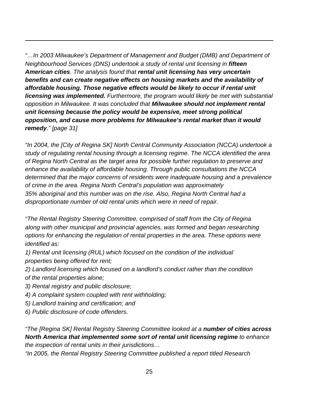*"…In 2003 Milwaukee's Department of Management and Budget (DMB) and Department of Neighbourhood Services (DNS) undertook a study of rental unit licensing in fifteen American cities. The analysis found that rental unit licensing has very uncertain benefits and can create negative effects on housing markets and the availability of affordable housing. Those negative effects would be likely to occur if rental unit licensing was implemented. Furthermore, the program would likely be met with substantial opposition in Milwaukee. It was concluded that Milwaukee should not implement rental unit licensing because the policy would be expensive, meet strong political opposition, and cause more problems for Milwaukee's rental market than it would remedy." [page 31]*

*"In 2004, the [City of Regina SK] North Central Community Association (NCCA) undertook a study of regulating rental housing through a licensing regime. The NCCA identified the area of Regina North Central as the target area for possible further regulation to preserve and enhance the availability of affordable housing. Through public consultations the NCCA determined that the major concerns of residents were inadequate housing and a prevalence of crime in the area. Regina North Central's population was approximately 35% aboriginal and this number was on the rise. Also, Regina North Central had a disproportionate number of old rental units which were in need of repair.* 

*"The Rental Registry Steering Committee, comprised of staff from the City of Regina along with other municipal and provincial agencies, was formed and began researching options for enhancing the regulation of rental properties in the area. These options were identified as:* 

*1) Rental unit licensing (RUL) which focused on the condition of the individual properties being offered for rent;* 

*2) Landlord licensing which focused on a landlord's conduct rather than the condition of the rental properties alone;* 

*3) Rental registry and public disclosure;* 

 $\overline{a}$ 

- *4) A complaint system coupled with rent withholding;*
- *5) Landlord training and certification; and*
- *6) Public disclosure of code offenders.*

*"The [Regina SK] Rental Registry Steering Committee looked at a number of cities across North America that implemented some sort of rental unit licensing regime to enhance the inspection of rental units in their jurisdictions…* 

*"In 2005, the Rental Registry Steering Committee published a report titled Research*